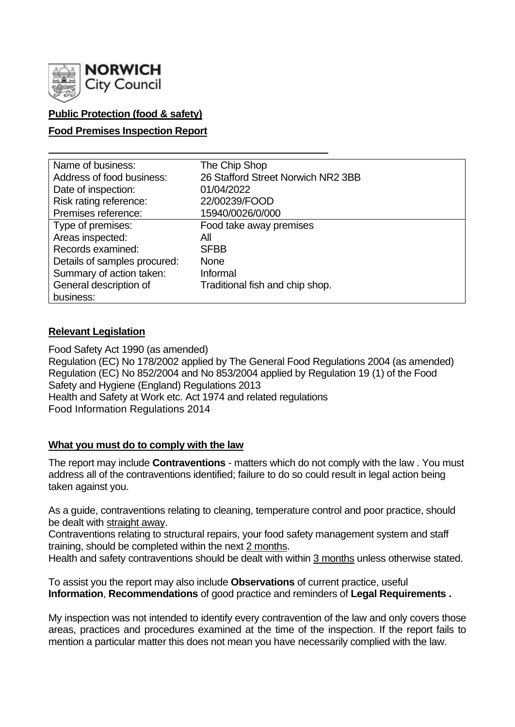

# **Public Protection (food & safety)**

### **Food Premises Inspection Report**

| Name of business:            | The Chip Shop                      |
|------------------------------|------------------------------------|
| Address of food business:    | 26 Stafford Street Norwich NR2 3BB |
| Date of inspection:          | 01/04/2022                         |
| Risk rating reference:       | 22/00239/FOOD                      |
| Premises reference:          | 15940/0026/0/000                   |
| Type of premises:            | Food take away premises            |
| Areas inspected:             | All                                |
| Records examined:            | <b>SFBB</b>                        |
| Details of samples procured: | <b>None</b>                        |
| Summary of action taken:     | Informal                           |
| General description of       | Traditional fish and chip shop.    |
| business:                    |                                    |

#### **Relevant Legislation**

Food Safety Act 1990 (as amended) Regulation (EC) No 178/2002 applied by The General Food Regulations 2004 (as amended) Regulation (EC) No 852/2004 and No 853/2004 applied by Regulation 19 (1) of the Food Safety and Hygiene (England) Regulations 2013 Health and Safety at Work etc. Act 1974 and related regulations Food Information Regulations 2014

## **What you must do to comply with the law**

The report may include **Contraventions** - matters which do not comply with the law . You must address all of the contraventions identified; failure to do so could result in legal action being taken against you.

As a guide, contraventions relating to cleaning, temperature control and poor practice, should be dealt with straight away.

Contraventions relating to structural repairs, your food safety management system and staff training, should be completed within the next 2 months.

Health and safety contraventions should be dealt with within 3 months unless otherwise stated.

To assist you the report may also include **Observations** of current practice, useful **Information**, **Recommendations** of good practice and reminders of **Legal Requirements .**

My inspection was not intended to identify every contravention of the law and only covers those areas, practices and procedures examined at the time of the inspection. If the report fails to mention a particular matter this does not mean you have necessarily complied with the law.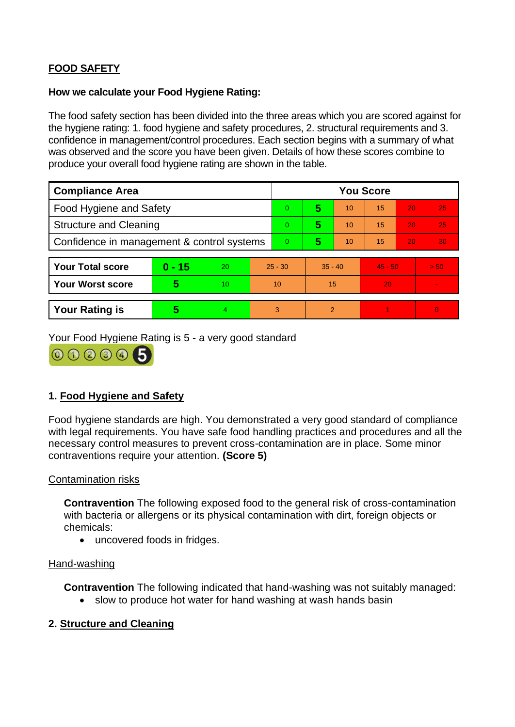# **FOOD SAFETY**

#### **How we calculate your Food Hygiene Rating:**

The food safety section has been divided into the three areas which you are scored against for the hygiene rating: 1. food hygiene and safety procedures, 2. structural requirements and 3. confidence in management/control procedures. Each section begins with a summary of what was observed and the score you have been given. Details of how these scores combine to produce your overall food hygiene rating are shown in the table.

| <b>Compliance Area</b>                     |          |    |           | <b>You Score</b> |           |    |           |    |          |  |
|--------------------------------------------|----------|----|-----------|------------------|-----------|----|-----------|----|----------|--|
| Food Hygiene and Safety                    |          |    |           | $\overline{0}$   | 5         | 10 | 15        | 20 | 25       |  |
| <b>Structure and Cleaning</b>              |          |    |           | $\overline{0}$   | 5         | 10 | 15        | 20 | 25       |  |
| Confidence in management & control systems |          |    |           | $\overline{0}$   | 5         | 10 | 15        | 20 | 30       |  |
|                                            |          |    |           |                  |           |    |           |    |          |  |
| <b>Your Total score</b>                    | $0 - 15$ | 20 | $25 - 30$ |                  | $35 - 40$ |    | $45 - 50$ |    | > 50     |  |
| <b>Your Worst score</b>                    | 5        | 10 | 10        |                  | 15        |    | 20        |    |          |  |
|                                            |          |    |           |                  |           |    |           |    |          |  |
| <b>Your Rating is</b>                      | 5        | 4  |           | 3                | 2         |    |           |    | $\Omega$ |  |

Your Food Hygiene Rating is 5 - a very good standard



## **1. Food Hygiene and Safety**

Food hygiene standards are high. You demonstrated a very good standard of compliance with legal requirements. You have safe food handling practices and procedures and all the necessary control measures to prevent cross-contamination are in place. Some minor contraventions require your attention. **(Score 5)**

#### Contamination risks

**Contravention** The following exposed food to the general risk of cross-contamination with bacteria or allergens or its physical contamination with dirt, foreign objects or chemicals:

• uncovered foods in fridges.

#### Hand-washing

**Contravention** The following indicated that hand-washing was not suitably managed:

• slow to produce hot water for hand washing at wash hands basin

## **2. Structure and Cleaning**